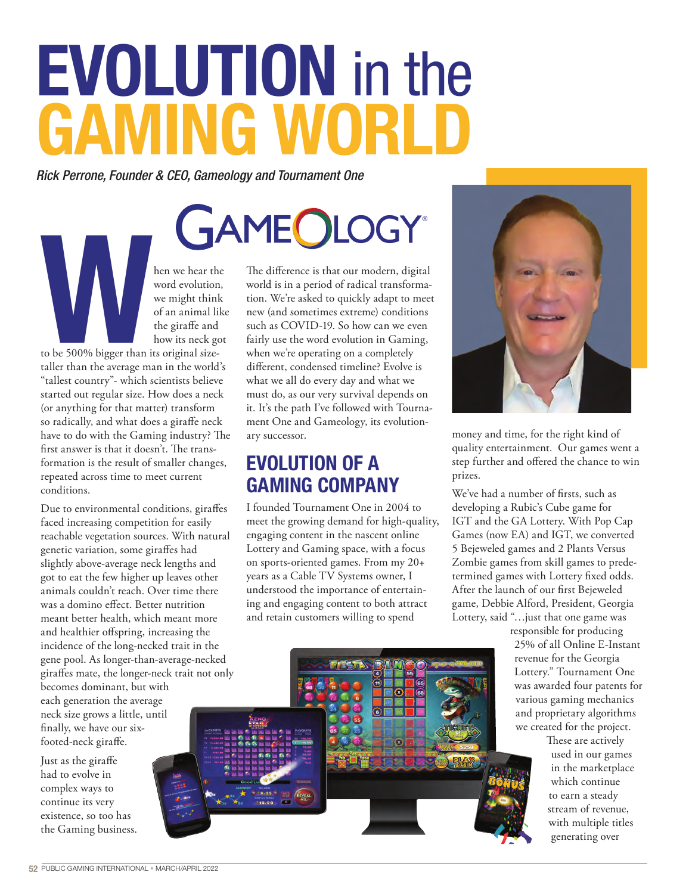## EVOLUTION in the **GAMING WORL**

*Rick Perrone, Founder & CEO, Gameology and Tournament One*

hen we hear the<br>
word evolution,<br>
we might think<br>
of an animal like<br>
to be 500% bigger than its original size-<br>
taller than the average man in the world's word evolution, we might think of an animal like the giraffe and how its neck got

to be 500% bigger than its original sizetaller than the average man in the world's "tallest country"- which scientists believe started out regular size. How does a neck (or anything for that matter) transform so radically, and what does a giraffe neck have to do with the Gaming industry? The first answer is that it doesn't. The transformation is the result of smaller changes, repeated across time to meet current conditions.

Due to environmental conditions, giraffes faced increasing competition for easily reachable vegetation sources. With natural genetic variation, some giraffes had slightly above-average neck lengths and got to eat the few higher up leaves other animals couldn't reach. Over time there was a domino effect. Better nutrition meant better health, which meant more and healthier offspring, increasing the incidence of the long-necked trait in the gene pool. As longer-than-average-necked giraffes mate, the longer-neck trait not only becomes dominant, but with each generation the average

neck size grows a little, until finally, we have our sixfooted-neck giraffe.

Just as the giraffe had to evolve in complex ways to continue its very existence, so too has the Gaming business. The difference is that our modern, digital world is in a period of radical transformation. We're asked to quickly adapt to meet new (and sometimes extreme) conditions such as COVID-19. So how can we even fairly use the word evolution in Gaming, when we're operating on a completely different, condensed timeline? Evolve is what we all do every day and what we must do, as our very survival depends on it. It's the path I've followed with Tournament One and Gameology, its evolutionary successor.

## **EVOLUTION OF A GAMING COMPANY**

I founded Tournament One in 2004 to meet the growing demand for high-quality, engaging content in the nascent online Lottery and Gaming space, with a focus on sports-oriented games. From my 20+ years as a Cable TV Systems owner, I understood the importance of entertaining and engaging content to both attract and retain customers willing to spend



money and time, for the right kind of quality entertainment. Our games went a step further and offered the chance to win prizes.

We've had a number of firsts, such as developing a Rubic's Cube game for IGT and the GA Lottery. With Pop Cap Games (now EA) and IGT, we converted 5 Bejeweled games and 2 Plants Versus Zombie games from skill games to predetermined games with Lottery fixed odds. After the launch of our first Bejeweled game, Debbie Alford, President, Georgia Lottery, said "…just that one game was

> responsible for producing 25% of all Online E-Instant revenue for the Georgia Lottery." Tournament One was awarded four patents for various gaming mechanics and proprietary algorithms we created for the project.

These are actively used in our games in the marketplace which continue to earn a steady stream of revenue, with multiple titles generating over